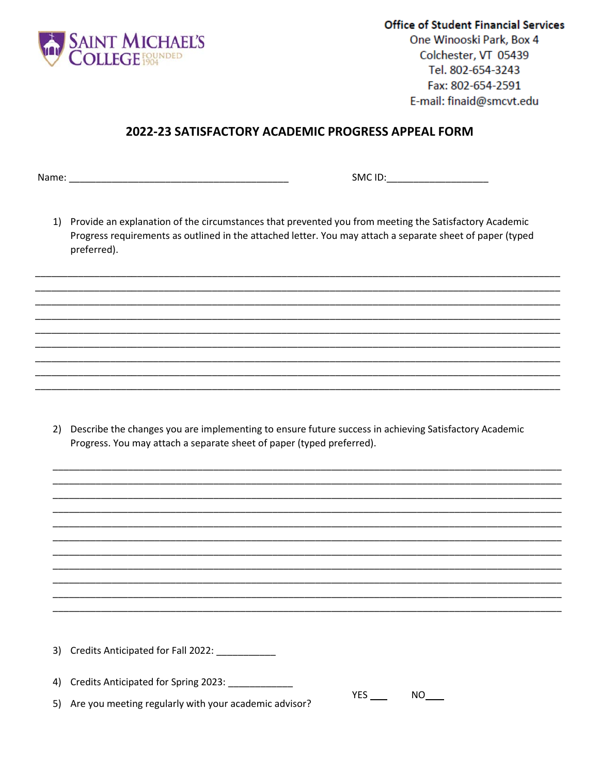

**Office of Student Financial Services** One Winooski Park, Box 4 Colchester, VT 05439 Tel. 802-654-3243 Fax: 802-654-2591 E-mail: finaid@smcvt.edu

## 2022-23 SATISFACTORY ACADEMIC PROGRESS APPEAL FORM

SMC ID:\_\_\_\_\_\_\_\_\_\_\_\_\_\_\_\_\_\_\_\_\_\_

1) Provide an explanation of the circumstances that prevented you from meeting the Satisfactory Academic Progress requirements as outlined in the attached letter. You may attach a separate sheet of paper (typed preferred).

2) Describe the changes you are implementing to ensure future success in achieving Satisfactory Academic Progress. You may attach a separate sheet of paper (typed preferred).

3) Credits Anticipated for Fall 2022: \_\_\_\_\_\_\_\_\_\_ 4) Credits Anticipated for Spring 2023: \_\_\_\_\_\_\_\_\_\_\_\_\_  $YES$  NO 5) Are you meeting regularly with your academic advisor?